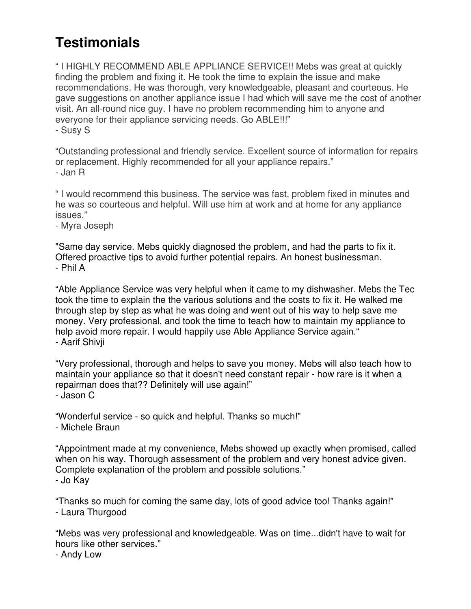## **Testimonials**

" I HIGHLY RECOMMEND ABLE APPLIANCE SERVICE!! Mebs was great at quickly finding the problem and fixing it. He took the time to explain the issue and make recommendations. He was thorough, very knowledgeable, pleasant and courteous. He gave suggestions on another appliance issue I had which will save me the cost of another visit. An all-round nice guy. I have no problem recommending him to anyone and everyone for their appliance servicing needs. Go ABLE!!!" - Susy S

"Outstanding professional and friendly service. Excellent source of information for repairs or replacement. Highly recommended for all your appliance repairs." - Jan R

" I would recommend this business. The service was fast, problem fixed in minutes and he was so courteous and helpful. Will use him at work and at home for any appliance issues."

- Myra Joseph

"Same day service. Mebs quickly diagnosed the problem, and had the parts to fix it. Offered proactive tips to avoid further potential repairs. An honest businessman. - Phil A

"Able Appliance Service was very helpful when it came to my dishwasher. Mebs the Tec took the time to explain the the various solutions and the costs to fix it. He walked me through step by step as what he was doing and went out of his way to help save me money. Very professional, and took the time to teach how to maintain my appliance to help avoid more repair. I would happily use Able Appliance Service again." - Aarif Shivji

"Very professional, thorough and helps to save you money. Mebs will also teach how to maintain your appliance so that it doesn't need constant repair - how rare is it when a repairman does that?? Definitely will use again!"

- Jason C

"Wonderful service - so quick and helpful. Thanks so much!" - Michele Braun

"Appointment made at my convenience, Mebs showed up exactly when promised, called when on his way. Thorough assessment of the problem and very honest advice given. Complete explanation of the problem and possible solutions." - Jo Kay

"Thanks so much for coming the same day, lots of good advice too! Thanks again!" - Laura Thurgood

"Mebs was very professional and knowledgeable. Was on time...didn't have to wait for hours like other services."

- Andy Low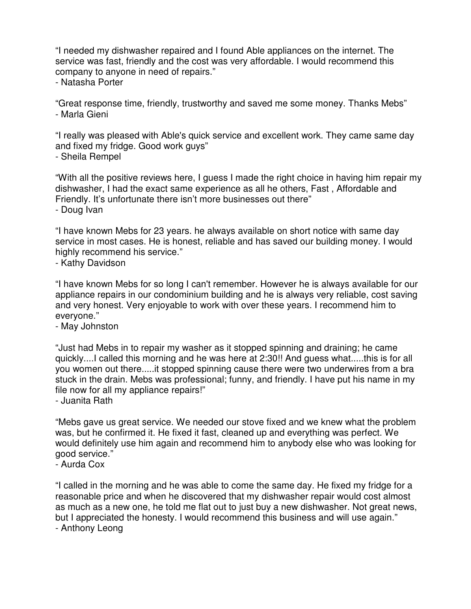"I needed my dishwasher repaired and I found Able appliances on the internet. The service was fast, friendly and the cost was very affordable. I would recommend this company to anyone in need of repairs."

- Natasha Porter

"Great response time, friendly, trustworthy and saved me some money. Thanks Mebs" - Marla Gieni

"I really was pleased with Able's quick service and excellent work. They came same day and fixed my fridge. Good work guys"

- Sheila Rempel

"With all the positive reviews here, I guess I made the right choice in having him repair my dishwasher, I had the exact same experience as all he others, Fast , Affordable and Friendly. It's unfortunate there isn't more businesses out there"

- Doug Ivan

"I have known Mebs for 23 years. he always available on short notice with same day service in most cases. He is honest, reliable and has saved our building money. I would highly recommend his service."

- Kathy Davidson

"I have known Mebs for so long I can't remember. However he is always available for our appliance repairs in our condominium building and he is always very reliable, cost saving and very honest. Very enjoyable to work with over these years. I recommend him to everyone."

- May Johnston

"Just had Mebs in to repair my washer as it stopped spinning and draining; he came quickly....I called this morning and he was here at 2:30!! And guess what.....this is for all you women out there.....it stopped spinning cause there were two underwires from a bra stuck in the drain. Mebs was professional; funny, and friendly. I have put his name in my file now for all my appliance repairs!"

- Juanita Rath

"Mebs gave us great service. We needed our stove fixed and we knew what the problem was, but he confirmed it. He fixed it fast, cleaned up and everything was perfect. We would definitely use him again and recommend him to anybody else who was looking for good service."

- Aurda Cox

"I called in the morning and he was able to come the same day. He fixed my fridge for a reasonable price and when he discovered that my dishwasher repair would cost almost as much as a new one, he told me flat out to just buy a new dishwasher. Not great news, but I appreciated the honesty. I would recommend this business and will use again." - Anthony Leong